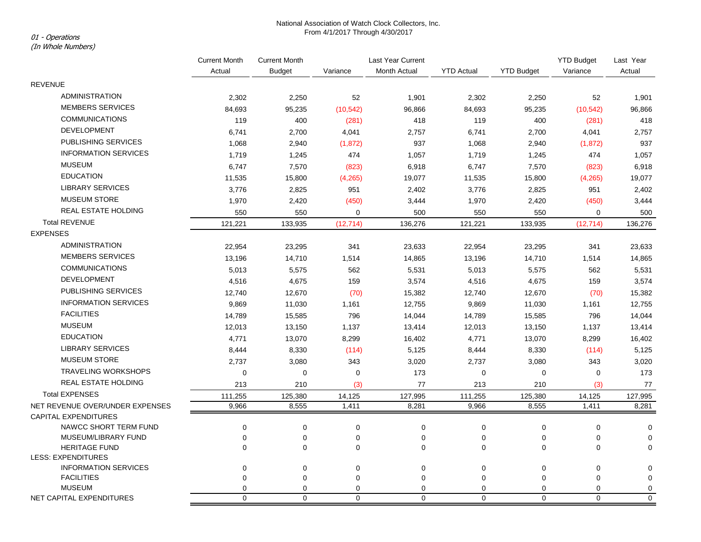# National Association of Watch Clock Collectors, Inc. From 4/1/2017 Through 4/30/2017 01 - Operations

## (In Whole Numbers)

|                                                  | <b>Current Month</b><br>Actual | <b>Current Month</b> | Last Year Current |              |                   |                   | <b>YTD Budget</b> | Last Year        |
|--------------------------------------------------|--------------------------------|----------------------|-------------------|--------------|-------------------|-------------------|-------------------|------------------|
|                                                  |                                | <b>Budget</b>        | Variance          | Month Actual | <b>YTD Actual</b> | <b>YTD Budget</b> | Variance          | Actual           |
| <b>REVENUE</b>                                   |                                |                      |                   |              |                   |                   |                   |                  |
| <b>ADMINISTRATION</b>                            | 2,302                          | 2,250                | 52                | 1,901        | 2,302             | 2,250             | 52                | 1,901            |
| <b>MEMBERS SERVICES</b>                          | 84,693                         | 95,235               | (10, 542)         | 96,866       | 84,693            | 95,235            | (10, 542)         | 96,866           |
| <b>COMMUNICATIONS</b>                            | 119                            | 400                  | (281)             | 418          | 119               | 400               | (281)             | 418              |
| <b>DEVELOPMENT</b>                               | 6,741                          | 2,700                | 4,041             | 2,757        | 6,741             | 2,700             | 4,041             | 2,757            |
| PUBLISHING SERVICES                              | 1,068                          | 2,940                | (1, 872)          | 937          | 1,068             | 2,940             | (1, 872)          | 937              |
| <b>INFORMATION SERVICES</b>                      | 1,719                          | 1,245                | 474               | 1,057        | 1,719             | 1,245             | 474               | 1,057            |
| <b>MUSEUM</b>                                    | 6,747                          | 7,570                | (823)             | 6,918        | 6,747             | 7,570             | (823)             | 6,918            |
| <b>EDUCATION</b>                                 | 11,535                         | 15,800               | (4, 265)          | 19,077       | 11,535            | 15,800            | (4, 265)          | 19,077           |
| <b>LIBRARY SERVICES</b>                          | 3,776                          | 2,825                | 951               | 2,402        | 3,776             | 2,825             | 951               | 2,402            |
| <b>MUSEUM STORE</b>                              | 1,970                          | 2,420                | (450)             | 3,444        | 1,970             | 2,420             | (450)             | 3,444            |
| <b>REAL ESTATE HOLDING</b>                       | 550                            | 550                  | $\mathbf 0$       | 500          | 550               | 550               | $\mathbf 0$       | 500              |
| <b>Total REVENUE</b>                             | 121,221                        | 133,935              | (12, 714)         | 136,276      | 121,221           | 133,935           | (12, 714)         | 136,276          |
| <b>EXPENSES</b>                                  |                                |                      |                   |              |                   |                   |                   |                  |
| <b>ADMINISTRATION</b>                            | 22,954                         | 23,295               | 341               | 23,633       | 22,954            | 23,295            | 341               | 23,633           |
| <b>MEMBERS SERVICES</b>                          | 13,196                         | 14,710               | 1,514             | 14,865       | 13,196            | 14,710            | 1,514             | 14,865           |
| <b>COMMUNICATIONS</b>                            | 5,013                          | 5,575                | 562               | 5,531        | 5,013             | 5,575             | 562               | 5,531            |
| <b>DEVELOPMENT</b>                               | 4,516                          | 4,675                | 159               | 3,574        | 4,516             | 4,675             | 159               | 3,574            |
| PUBLISHING SERVICES                              | 12,740                         | 12,670               | (70)              | 15,382       | 12,740            | 12,670            | (70)              | 15,382           |
| <b>INFORMATION SERVICES</b>                      | 9,869                          | 11,030               | 1,161             | 12,755       | 9,869             | 11,030            | 1,161             | 12,755           |
| <b>FACILITIES</b>                                | 14,789                         | 15,585               | 796               | 14,044       | 14,789            | 15,585            | 796               | 14,044           |
| <b>MUSEUM</b>                                    | 12,013                         | 13,150               | 1,137             | 13,414       | 12,013            | 13,150            | 1,137             | 13,414           |
| <b>EDUCATION</b>                                 | 4,771                          | 13,070               | 8,299             | 16,402       | 4,771             | 13,070            | 8,299             | 16,402           |
| <b>LIBRARY SERVICES</b>                          | 8,444                          | 8,330                | (114)             | 5,125        | 8,444             | 8,330             | (114)             | 5,125            |
| <b>MUSEUM STORE</b>                              | 2,737                          | 3,080                | 343               | 3,020        | 2,737             | 3,080             | 343               | 3,020            |
| <b>TRAVELING WORKSHOPS</b>                       | $\mathbf 0$                    | 0                    | $\mathbf 0$       | 173          | $\pmb{0}$         | $\mathbf 0$       | 0                 | 173              |
| <b>REAL ESTATE HOLDING</b>                       | 213                            | 210                  | (3)               | 77           | 213               | 210               | (3)               | 77               |
| <b>Total EXPENSES</b>                            | 111,255                        | 125,380              | 14,125            | 127,995      | 111,255           | 125,380           | 14,125            | 127,995          |
| NET REVENUE OVER/UNDER EXPENSES                  | 9,966                          | 8,555                | 1,411             | 8,281        | 9,966             | 8,555             | 1,411             | 8,281            |
| CAPITAL EXPENDITURES                             |                                |                      |                   |              |                   |                   |                   |                  |
| NAWCC SHORT TERM FUND                            | $\mathbf 0$                    | 0                    | 0                 | 0            | $\pmb{0}$         | 0                 | 0                 | $\mathbf 0$      |
| MUSEUM/LIBRARY FUND                              | $\mathbf 0$                    | $\pmb{0}$            | $\mathbf 0$       | 0            | 0                 | $\pmb{0}$         | 0                 | 0                |
| <b>HERITAGE FUND</b>                             | $\Omega$                       | $\Omega$             | $\mathbf 0$       | $\Omega$     | 0                 | $\mathbf 0$       | $\mathbf 0$       | $\mathbf 0$      |
| <b>LESS: EXPENDITURES</b>                        |                                |                      |                   |              |                   |                   |                   |                  |
| <b>INFORMATION SERVICES</b><br><b>FACILITIES</b> | $\mathbf 0$<br>0               | 0<br>0               | $\mathbf 0$<br>0  | 0<br>0       | $\pmb{0}$<br>0    | $\pmb{0}$<br>0    | 0<br>0            | 0<br>$\mathbf 0$ |
| <b>MUSEUM</b>                                    | 0                              | $\mathbf 0$          | $\mathbf 0$       | 0            | 0                 | 0                 | 0                 | $\pmb{0}$        |
| NET CAPITAL EXPENDITURES                         | $\Omega$                       | $\Omega$             | $\Omega$          | $\Omega$     | $\mathbf 0$       | $\Omega$          | $\Omega$          | $\overline{0}$   |
|                                                  |                                |                      |                   |              |                   |                   |                   |                  |